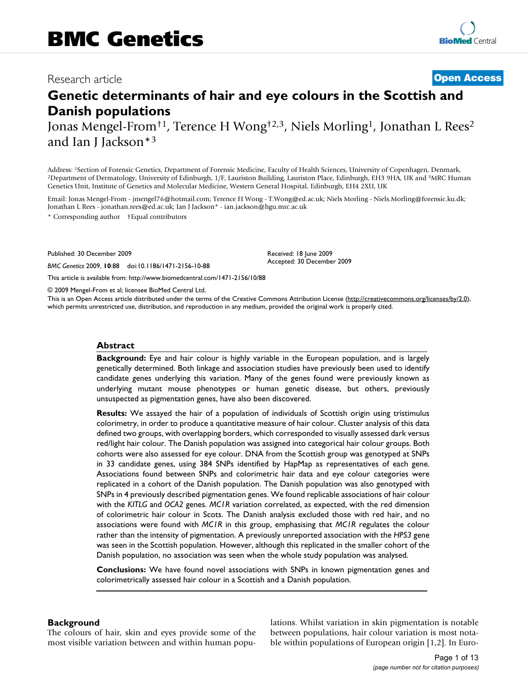# Research article **[Open Access](http://www.biomedcentral.com/info/about/charter/)**

# **Genetic determinants of hair and eye colours in the Scottish and Danish populations**

Jonas Mengel-From†1, Terence H Wong†2,3, Niels Morling1, Jonathan L Rees2 and Ian J Jackson\*3

Address: <sup>1</sup>Section of Forensic Genetics, Department of Forensic Medicine, Faculty of Health Sciences, University of Copenhagen, Denmark,<br><sup>2</sup>Department of Dermatology, University of Edinburgh, 1/F, Lauriston Building, Laur Genetics Unit, Institute of Genetics and Molecular Medicine, Western General Hospital, Edinburgh, EH4 2XU, UK

Email: Jonas Mengel-From - jmengel76@hotmail.com; Terence H Wong - T.Wong@ed.ac.uk; Niels Morling - Niels.Morling@forensic.ku.dk; Jonathan L Rees - jonathan.rees@ed.ac.uk; Ian J Jackson\* - ian.jackson@hgu.mrc.ac.uk

\* Corresponding author †Equal contributors

Published: 30 December 2009

*BMC Genetics* 2009, **10**:88 doi:10.1186/1471-2156-10-88

[This article is available from: http://www.biomedcentral.com/1471-2156/10/88](http://www.biomedcentral.com/1471-2156/10/88)

© 2009 Mengel-From et al; licensee BioMed Central Ltd.

This is an Open Access article distributed under the terms of the Creative Commons Attribution License [\(http://creativecommons.org/licenses/by/2.0\)](http://creativecommons.org/licenses/by/2.0), which permits unrestricted use, distribution, and reproduction in any medium, provided the original work is properly cited.

Received: 18 June 2009 Accepted: 30 December 2009

#### **Abstract**

**Background:** Eye and hair colour is highly variable in the European population, and is largely genetically determined. Both linkage and association studies have previously been used to identify candidate genes underlying this variation. Many of the genes found were previously known as underlying mutant mouse phenotypes or human genetic disease, but others, previously unsuspected as pigmentation genes, have also been discovered.

**Results:** We assayed the hair of a population of individuals of Scottish origin using tristimulus colorimetry, in order to produce a quantitative measure of hair colour. Cluster analysis of this data defined two groups, with overlapping borders, which corresponded to visually assessed dark versus red/light hair colour. The Danish population was assigned into categorical hair colour groups. Both cohorts were also assessed for eye colour. DNA from the Scottish group was genotyped at SNPs in 33 candidate genes, using 384 SNPs identified by HapMap as representatives of each gene. Associations found between SNPs and colorimetric hair data and eye colour categories were replicated in a cohort of the Danish population. The Danish population was also genotyped with SNPs in 4 previously described pigmentation genes. We found replicable associations of hair colour with the *KITLG* and *OCA2* genes. *MC1R* variation correlated, as expected, with the red dimension of colorimetric hair colour in Scots. The Danish analysis excluded those with red hair, and no associations were found with *MC1R* in this group, emphasising that *MC1R* regulates the colour rather than the intensity of pigmentation. A previously unreported association with the *HPS3* gene was seen in the Scottish population. However, although this replicated in the smaller cohort of the Danish population, no association was seen when the whole study population was analysed.

**Conclusions:** We have found novel associations with SNPs in known pigmentation genes and colorimetrically assessed hair colour in a Scottish and a Danish population.

# **Background**

The colours of hair, skin and eyes provide some of the most visible variation between and within human populations. Whilst variation in skin pigmentation is notable between populations, hair colour variation is most notable within populations of European origin [1,2]. In Euro-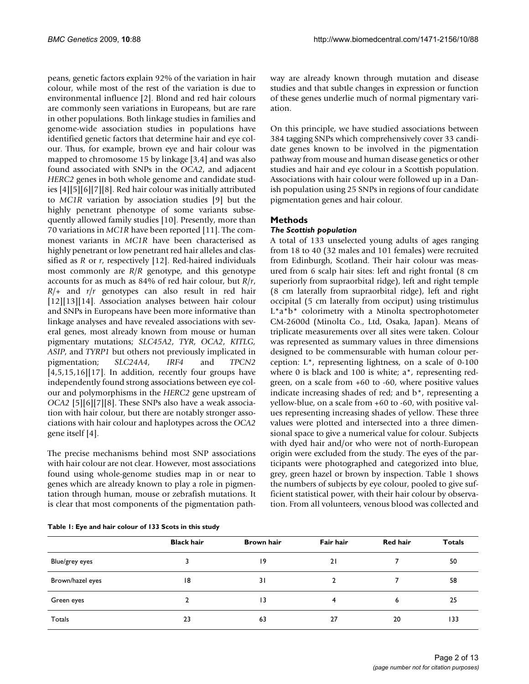peans, genetic factors explain 92% of the variation in hair colour, while most of the rest of the variation is due to environmental influence [2]. Blond and red hair colours are commonly seen variations in Europeans, but are rare in other populations. Both linkage studies in families and genome-wide association studies in populations have identified genetic factors that determine hair and eye colour. Thus, for example, brown eye and hair colour was mapped to chromosome 15 by linkage [3,4] and was also found associated with SNPs in the *OCA2*, and adjacent *HERC2* genes in both whole genome and candidate studies [4][5][6][7][8]. Red hair colour was initially attributed to *MC1R* variation by association studies [9] but the highly penetrant phenotype of some variants subsequently allowed family studies [10]. Presently, more than 70 variations in *MC1R* have been reported [11]. The commonest variants in *MC1R* have been characterised as highly penetrant or low penetrant red hair alleles and classified as *R* or *r*, respectively [12]. Red-haired individuals most commonly are *R*/*R* genotype, and this genotype accounts for as much as 84% of red hair colour, but *R*/*r*, *R*/+ and *r*/*r* genotypes can also result in red hair [12][13][14]. Association analyses between hair colour and SNPs in Europeans have been more informative than linkage analyses and have revealed associations with several genes, most already known from mouse or human pigmentary mutations; *SLC45A2*, *TYR*, *OCA2*, *KITLG, ASIP*, and *TYRP1* but others not previously implicated in pigmentation; *SLC24A4, IRF4* and *TPCN2*  $[4,5,15,16][17]$ . In addition, recently four groups have independently found strong associations between eye colour and polymorphisms in the *HERC2* gene upstream of *OCA2* [5][6][7][8]. These SNPs also have a weak association with hair colour, but there are notably stronger associations with hair colour and haplotypes across the *OCA2* gene itself [4].

The precise mechanisms behind most SNP associations with hair colour are not clear. However, most associations found using whole-genome studies map in or near to genes which are already known to play a role in pigmentation through human, mouse or zebrafish mutations. It is clear that most components of the pigmentation pathway are already known through mutation and disease studies and that subtle changes in expression or function of these genes underlie much of normal pigmentary variation.

On this principle, we have studied associations between 384 tagging SNPs which comprehensively cover 33 candidate genes known to be involved in the pigmentation pathway from mouse and human disease genetics or other studies and hair and eye colour in a Scottish population. Associations with hair colour were followed up in a Danish population using 25 SNPs in regions of four candidate pigmentation genes and hair colour.

# **Methods**

# *The Scottish population*

A total of 133 unselected young adults of ages ranging from 18 to 40 (32 males and 101 females) were recruited from Edinburgh, Scotland. Their hair colour was measured from 6 scalp hair sites: left and right frontal (8 cm superiorly from supraorbital ridge), left and right temple (8 cm laterally from supraorbital ridge), left and right occipital (5 cm laterally from occiput) using tristimulus L\*a\*b\* colorimetry with a Minolta spectrophotometer CM-2600d (Minolta Co., Ltd, Osaka, Japan). Means of triplicate measurements over all sites were taken. Colour was represented as summary values in three dimensions designed to be commensurable with human colour perception: L\*, representing lightness, on a scale of 0-100 where 0 is black and 100 is white; a\*, representing redgreen, on a scale from +60 to -60, where positive values indicate increasing shades of red; and b\*, representing a yellow-blue, on a scale from +60 to -60, with positive values representing increasing shades of yellow. These three values were plotted and intersected into a three dimensional space to give a numerical value for colour. Subjects with dyed hair and/or who were not of north-European origin were excluded from the study. The eyes of the participants were photographed and categorized into blue, grey, green hazel or brown by inspection. Table 1 shows the numbers of subjects by eye colour, pooled to give sufficient statistical power, with their hair colour by observation. From all volunteers, venous blood was collected and

**Table 1: Eye and hair colour of 133 Scots in this study**

|                  | <b>Black hair</b> | <b>Brown hair</b> | Fair hair | <b>Red hair</b> | <b>Totals</b> |
|------------------|-------------------|-------------------|-----------|-----------------|---------------|
| Blue/grey eyes   |                   | 19                | 21        |                 | 50            |
| Brown/hazel eyes | 18                | 31                |           |                 | 58            |
| Green eyes       |                   | $\overline{1}$    | 4         | 6               | 25            |
| Totals           | 23                | 63                | 27        | 20              | 133           |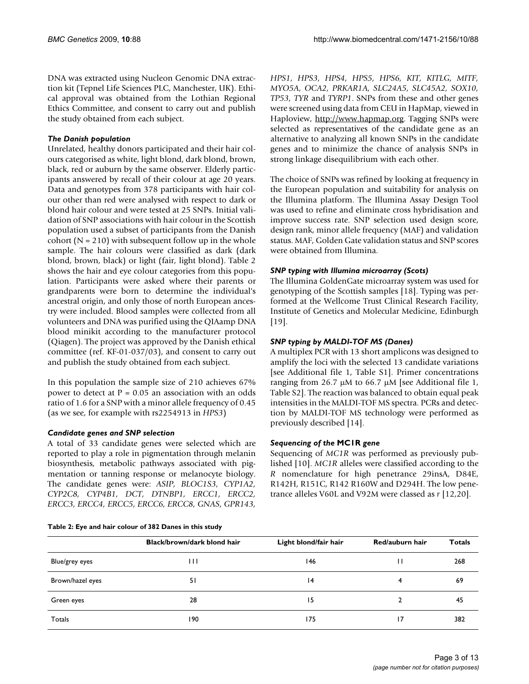DNA was extracted using Nucleon Genomic DNA extraction kit (Tepnel Life Sciences PLC, Manchester, UK). Ethical approval was obtained from the Lothian Regional Ethics Committee, and consent to carry out and publish the study obtained from each subject.

#### *The Danish population*

Unrelated, healthy donors participated and their hair colours categorised as white, light blond, dark blond, brown, black, red or auburn by the same observer. Elderly participants answered by recall of their colour at age 20 years. Data and genotypes from 378 participants with hair colour other than red were analysed with respect to dark or blond hair colour and were tested at 25 SNPs. Initial validation of SNP associations with hair colour in the Scottish population used a subset of participants from the Danish cohort ( $N = 210$ ) with subsequent follow up in the whole sample. The hair colours were classified as dark (dark blond, brown, black) or light (fair, light blond). Table 2 shows the hair and eye colour categories from this population. Participants were asked where their parents or grandparents were born to determine the individual's ancestral origin, and only those of north European ancestry were included. Blood samples were collected from all volunteers and DNA was purified using the QIAamp DNA blood minikit according to the manufacturer protocol (Qiagen). The project was approved by the Danish ethical committee (ref. KF-01-037/03), and consent to carry out and publish the study obtained from each subject.

In this population the sample size of 210 achieves 67% power to detect at  $P = 0.05$  an association with an odds ratio of 1.6 for a SNP with a minor allele frequency of 0.45 (as we see, for example with rs2254913 in *HPS3*)

#### *Candidate genes and SNP selection*

A total of 33 candidate genes were selected which are reported to play a role in pigmentation through melanin biosynthesis, metabolic pathways associated with pigmentation or tanning response or melanocyte biology. The candidate genes were: *ASIP, BLOC1S3, CYP1A2, CYP2C8, CYP4B1, DCT, DTNBP1, ERCC1, ERCC2, ERCC3, ERCC4, ERCC5, ERCC6, ERCC8, GNAS, GPR143,*

**Table 2: Eye and hair colour of 382 Danes in this study**

*HPS1, HPS3, HPS4, HPS5, HPS6, KIT, KITLG, MITF, MYO5A, OCA2, PRKAR1A, SLC24A5, SLC45A2, SOX10, TP53, TYR* and *TYRP1*. SNPs from these and other genes were screened using data from CEU in HapMap, viewed in Haploview, <http://www.hapmap.org>. Tagging SNPs were selected as representatives of the candidate gene as an alternative to analyzing all known SNPs in the candidate genes and to minimize the chance of analysis SNPs in strong linkage disequilibrium with each other.

The choice of SNPs was refined by looking at frequency in the European population and suitability for analysis on the Illumina platform. The Illumina Assay Design Tool was used to refine and eliminate cross hybridisation and improve success rate. SNP selection used design score, design rank, minor allele frequency (MAF) and validation status. MAF, Golden Gate validation status and SNP scores were obtained from Illumina.

# *SNP typing with Illumina microarray (Scots)*

The Illumina GoldenGate microarray system was used for genotyping of the Scottish samples [18]. Typing was performed at the Wellcome Trust Clinical Research Facility, Institute of Genetics and Molecular Medicine, Edinburgh [19].

#### *SNP typing by MALDI-TOF MS (Danes)*

A multiplex PCR with 13 short amplicons was designed to amplify the loci with the selected 13 candidate variations [see Additional file 1, Table S1]. Primer concentrations ranging from 26.7 μM to 66.7 μM [see Additional file 1, Table S2]. The reaction was balanced to obtain equal peak intensities in the MALDI-TOF MS spectra. PCRs and detection by MALDI-TOF MS technology were performed as previously described [14].

# *Sequencing of the* **MC1R** *gene*

Sequencing of *MC1R* was performed as previously published [10]. *MC1R* alleles were classified according to the *R* nomenclature for high penetrance 29insA, D84E, R142H, R151C, R142 R160W and D294H. The low penetrance alleles V60L and V92M were classed as *r* [12,20].

|                  | Black/brown/dark blond hair | Light blond/fair hair | Red/auburn hair | <b>Totals</b> |
|------------------|-----------------------------|-----------------------|-----------------|---------------|
| Blue/grey eyes   | Ш                           | 146                   |                 | 268           |
| Brown/hazel eyes | 51                          | 4                     |                 | 69            |
| Green eyes       | 28                          | 15                    |                 | 45            |
| Totals           | 190                         | 175                   | 17              | 382           |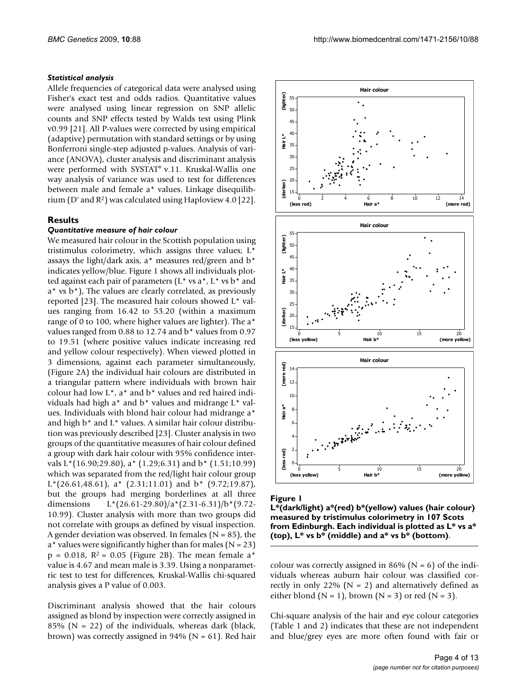#### *Statistical analysis*

Allele frequencies of categorical data were analysed using Fisher's exact test and odds radios. Quantitative values were analysed using linear regression on SNP allelic counts and SNP effects tested by Walds test using Plink v0.99 [21]. All P-values were corrected by using empirical (adaptive) permutation with standard settings or by using Bonferroni single-step adjusted p-values. Analysis of variance (ANOVA), cluster analysis and discriminant analysis were performed with SYSTAT® v.11. Kruskal-Wallis one way analysis of variance was used to test for differences between male and female a\* values. Linkage disequilibrium (D' and R2) was calculated using Haploview 4.0 [22].

#### **Results**

# *Quantitative measure of hair colour*

We measured hair colour in the Scottish population using tristimulus colorimetry, which assigns three values; L\* assays the light/dark axis,  $a^*$  measures red/green and  $b^*$ indicates yellow/blue. Figure 1 shows all individuals plotted against each pair of parameters ( $L^*$  vs  $a^*$ ,  $L^*$  vs  $b^*$  and a\* vs b\*), The values are clearly correlated, as previously reported [23]. The measured hair colours showed L\* values ranging from 16.42 to 53.20 (within a maximum range of 0 to 100, where higher values are lighter). The a\* values ranged from 0.88 to 12.74 and b\* values from 0.97 to 19.51 (where positive values indicate increasing red and yellow colour respectively). When viewed plotted in 3 dimensions, against each parameter simultaneously, (Figure 2A) the individual hair colours are distributed in a triangular pattern where individuals with brown hair colour had low L\*, a\* and b\* values and red haired individuals had high a\* and b\* values and midrange L\* values. Individuals with blond hair colour had midrange a\* and high b\* and L\* values. A similar hair colour distribution was previously described [23]. Cluster analysis in two groups of the quantitative measures of hair colour defined a group with dark hair colour with 95% confidence intervals L\*(16.90;29.80), a\* (1.29;6.31) and b\* (1.51;10.99) which was separated from the red/light hair colour group  $L^{*}(26.61, 48.61)$ , a<sup>\*</sup>  $(2.31, 11.01)$  and b<sup>\*</sup>  $(9.72, 19.87)$ , but the groups had merging borderlines at all three dimensions L\*(26.61-29.80)/a\*(2.31-6.31)/b\*(9.72- 10.99). Cluster analysis with more than two groups did not correlate with groups as defined by visual inspection. A gender deviation was observed. In females ( $N = 85$ ), the  $a^*$  values were significantly higher than for males (N = 23)  $p = 0.018$ ,  $R^2 = 0.05$  (Figure 2B). The mean female a<sup>\*</sup> value is 4.67 and mean male is 3.39. Using a nonparametric test to test for differences, Kruskal-Wallis chi-squared analysis gives a P value of 0.003.

Discriminant analysis showed that the hair colours assigned as blond by inspection were correctly assigned in 85% ( $N = 22$ ) of the individuals, whereas dark (black, brown) was correctly assigned in 94% ( $N = 61$ ). Red hair



#### Figure I

**L\*(dark/light) a\*(red) b\*(yellow) values (hair colour) measured by tristimulus colorimetry in 107 Scots from Edinburgh. Each individual is plotted as L\* vs a\* (top), L\* vs b\* (middle) and a\* vs b\* (bottom)**.

colour was correctly assigned in 86% ( $N = 6$ ) of the individuals whereas auburn hair colour was classified correctly in only 22% ( $N = 2$ ) and alternatively defined as either blond ( $N = 1$ ), brown ( $N = 3$ ) or red ( $N = 3$ ).

Chi-square analysis of the hair and eye colour categories (Table 1 and 2) indicates that these are not independent and blue/grey eyes are more often found with fair or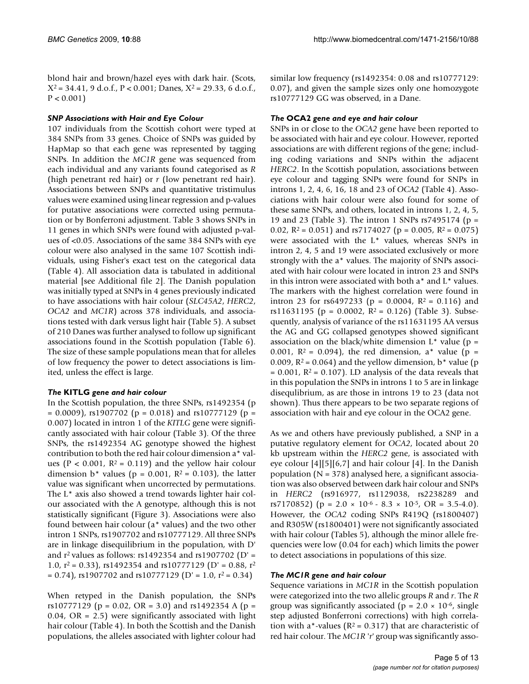blond hair and brown/hazel eyes with dark hair. (Scots,  $X^2 = 34.41$ , 9 d.o.f., P < 0.001; Danes,  $X^2 = 29.33$ , 6 d.o.f.,  $P < 0.001$ )

# *SNP Associations with Hair and Eye Colour*

107 individuals from the Scottish cohort were typed at 384 SNPs from 33 genes. Choice of SNPs was guided by HapMap so that each gene was represented by tagging SNPs. In addition the *MC1R* gene was sequenced from each individual and any variants found categorised as *R* (high penetrant red hair) or *r* (low penetrant red hair). Associations between SNPs and quantitative tristimulus values were examined using linear regression and p-values for putative associations were corrected using permutation or by Bonferroni adjustment. Table 3 shows SNPs in 11 genes in which SNPs were found with adjusted p-values of <0.05. Associations of the same 384 SNPs with eye colour were also analysed in the same 107 Scottish individuals, using Fisher's exact test on the categorical data (Table 4). All association data is tabulated in additional material [see Additional file 2]. The Danish population was initially typed at SNPs in 4 genes previously indicated to have associations with hair colour (*SLC45A2*, *HERC2*, *OCA2* and *MC1R*) across 378 individuals, and associations tested with dark versus light hair (Table 5). A subset of 210 Danes was further analysed to follow up significant associations found in the Scottish population (Table 6). The size of these sample populations mean that for alleles of low frequency the power to detect associations is limited, unless the effect is large.

# *The* **KITLG** *gene and hair colour*

In the Scottish population, the three SNPs, rs1492354 (p  $= 0.0009$ ), rs1907702 (p = 0.018) and rs10777129 (p = 0.007) located in intron 1 of the *KITLG* gene were significantly associated with hair colour (Table 3). Of the three SNPs, the rs1492354 AG genotype showed the highest contribution to both the red hair colour dimension a\* values ( $P < 0.001$ ,  $R^2 = 0.119$ ) and the yellow hair colour dimension  $b^*$  values (p = 0.001, R<sup>2</sup> = 0.103), the latter value was significant when uncorrected by permutations. The L\* axis also showed a trend towards lighter hair colour associated with the A genotype, although this is not statistically significant (Figure 3). Associations were also found between hair colour (a\* values) and the two other intron 1 SNPs, rs1907702 and rs10777129. All three SNPs are in linkage disequilibrium in the population, with D' and  $r^2$  values as follows: rs1492354 and rs1907702 (D' = 1.0,  $r^2$  = 0.33), rs1492354 and rs10777129 (D' = 0.88, r<sup>2</sup>  $= 0.74$ , rs1907702 and rs10777129 (D' = 1.0, r<sup>2</sup> = 0.34)

When retyped in the Danish population, the SNPs rs10777129 ( $p = 0.02$ , OR = 3.0) and rs1492354 A ( $p =$ 0.04,  $OR = 2.5$ ) were significantly associated with light hair colour (Table 4). In both the Scottish and the Danish populations, the alleles associated with lighter colour had similar low frequency (rs1492354: 0.08 and rs10777129: 0.07), and given the sample sizes only one homozygote rs10777129 GG was observed, in a Dane.

# *The* **OCA2** *gene and eye and hair colour*

SNPs in or close to the *OCA2* gene have been reported to be associated with hair and eye colour. However, reported associations are with different regions of the gene; including coding variations and SNPs within the adjacent *HERC2*. In the Scottish population, associations between eye colour and tagging SNPs were found for SNPs in introns 1, 2, 4, 6, 16, 18 and 23 of *OCA2* (Table 4). Associations with hair colour were also found for some of these same SNPs, and others, located in introns 1, 2, 4, 5, 19 and 23 (Table 3). The intron 1 SNPs rs7495174 (p = 0.02,  $R^2 = 0.051$ ) and rs7174027 (p = 0.005,  $R^2 = 0.075$ ) were associated with the L\* values, whereas SNPs in intron 2, 4, 5 and 19 were associated exclusively or more strongly with the a\* values. The majority of SNPs associated with hair colour were located in intron 23 and SNPs in this intron were associated with both a\* and L\* values. The markers with the highest correlation were found in intron 23 for rs6497233 ( $p = 0.0004$ ,  $R^2 = 0.116$ ) and rs11631195 (p = 0.0002,  $R^2$  = 0.126) (Table 3). Subsequently, analysis of variance of the rs11631195 AA versus the AG and GG collapsed genotypes showed significant association on the black/white dimension  $L^*$  value (p = 0.001,  $R^2 = 0.094$ , the red dimension, a\* value (p = 0.009,  $R^2$  = 0.064) and the yellow dimension,  $b^*$  value (p  $= 0.001$ ,  $R^2 = 0.107$ ). LD analysis of the data reveals that in this population the SNPs in introns 1 to 5 are in linkage disequlibrium, as are those in introns 19 to 23 (data not shown). Thus there appears to be two separate regions of association with hair and eye colour in the OCA2 gene.

As we and others have previously published, a SNP in a putative regulatory element for *OCA2*, located about 20 kb upstream within the *HERC2* gene, is associated with eye colour [4][5][6,7] and hair colour [4]. In the Danish population ( $N = 378$ ) analysed here, a significant association was also observed between dark hair colour and SNPs in *HERC2* (rs916977, rs1129038, rs2238289 and rs7170852) ( $p = 2.0 \times 10^{-6} - 8.3 \times 10^{-5}$ , OR = 3.5-4.0). However, the *OCA2* coding SNPs R419Q (rs1800407) and R305W (rs1800401) were not significantly associated with hair colour (Tables 5), although the minor allele frequencies were low (0.04 for each) which limits the power to detect associations in populations of this size.

# *The MC1R gene and hair colour*

Sequence variations in *MC1R* in the Scottish population were categorized into the two allelic groups *R* and *r*. The *R* group was significantly associated ( $p = 2.0 \times 10^{-6}$ , single step adjusted Bonferroni corrections) with high correlation with a\*-values ( $R^2$  = 0.317) that are characteristic of red hair colour. The *MC1R* '*r*' group was significantly asso-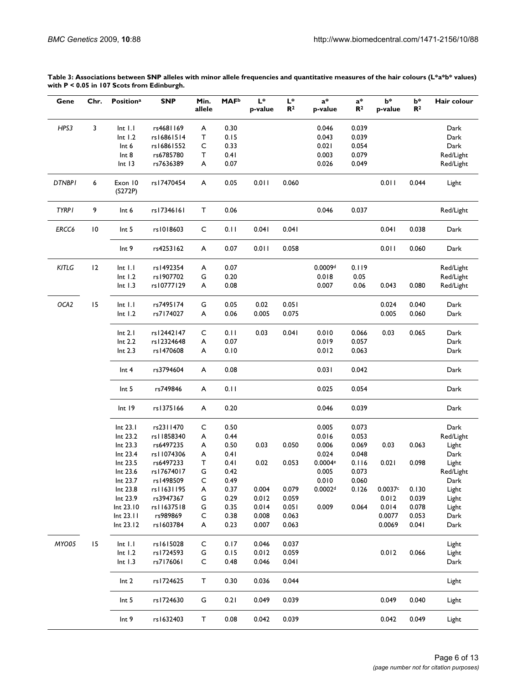|                                              | Table 3: Associations between SNP alleles with minor allele frequencies and quantitative measures of the hair colours ( $L^*a^*b^*$ values) |
|----------------------------------------------|---------------------------------------------------------------------------------------------------------------------------------------------|
| with $P < 0.05$ in 107 Scots from Edinburgh. |                                                                                                                                             |

| Gene          | Chr.            | <b>Positiona</b>       | <b>SNP</b>            | Min.<br>allele | <b>MAF</b> <sup>b</sup> | $L^*$<br>p-value | $L^*$<br>$\mathbf{R}^2$ | $a^*$<br>p-value    | $a^*$<br>R <sup>2</sup> | $b*$<br>p-value  | $b*$<br>$\mathbb{R}^2$ | Hair colour  |
|---------------|-----------------|------------------------|-----------------------|----------------|-------------------------|------------------|-------------------------|---------------------|-------------------------|------------------|------------------------|--------------|
| HPS3          | 3               | $Int$ $I$ . $I$        | rs4681169             | A              | 0.30                    |                  |                         | 0.046               | 0.039                   |                  |                        | Dark         |
|               |                 | Int I.2                | rs16861514            | T              | 0.15                    |                  |                         | 0.043               | 0.039                   |                  |                        | Dark         |
|               |                 | Int 6                  | rs16861552            | C              | 0.33                    |                  |                         | 0.021               | 0.054                   |                  |                        | Dark         |
|               |                 | Int 8                  | rs6785780             | т              | 0.41                    |                  |                         | 0.003               | 0.079                   |                  |                        | Red/Light    |
|               |                 | Int I3                 | rs7636389             | A              | 0.07                    |                  |                         | 0.026               | 0.049                   |                  |                        | Red/Light    |
| <b>DTNBPI</b> | 6               | Exon 10<br>(S272P)     | rs I 7470454          | A              | 0.05                    | 0.011            | 0.060                   |                     |                         | 0.011            | 0.044                  | Light        |
| <b>TYRPI</b>  | 9               | Int 6                  | rs17346161            | T              | 0.06                    |                  |                         | 0.046               | 0.037                   |                  |                        | Red/Light    |
| ERCC6         | $\overline{10}$ | Int <sub>5</sub>       | rs1018603             | C              | 0.11                    | 0.041            | 0.041                   |                     |                         | 0.041            | 0.038                  | Dark         |
|               |                 | Int 9                  | rs4253162             | A              | 0.07                    | 0.011            | 0.058                   |                     |                         | 0.011            | 0.060                  | Dark         |
| KITLG         | 12              | $Int$ $I.I$            | rs1492354             | A              | 0.07                    |                  |                         | 0.0009d             | 0.119                   |                  |                        | Red/Light    |
|               |                 | Int I.2                | rs1907702             | G              | 0.20                    |                  |                         | 0.018               | 0.05                    |                  |                        | Red/Light    |
|               |                 | $Int$ $I.3$            | rs10777129            | A              | 0.08                    |                  |                         | 0.007               | 0.06                    | 0.043            | 0.080                  | Red/Light    |
|               |                 |                        | rs7495174             |                |                         |                  |                         |                     |                         |                  |                        |              |
| OCA2          | 15              | $Int$ $I.I$<br>Int I.2 | rs7174027             | G<br>A         | 0.05<br>0.06            | 0.02<br>0.005    | 0.051<br>0.075          |                     |                         | 0.024<br>0.005   | 0.040<br>0.060         | Dark<br>Dark |
|               |                 |                        |                       |                |                         |                  |                         |                     |                         |                  |                        |              |
|               |                 | Int 2.1                | rs12442147            | C              | 0.11                    | 0.03             | 0.041                   | 0.010               | 0.066                   | 0.03             | 0.065                  | Dark         |
|               |                 | Int 2.2                | rs12324648            | A              | 0.07                    |                  |                         | 0.019               | 0.057                   |                  |                        | Dark         |
|               |                 | Int 2.3                | rs1470608             | A              | 0.10                    |                  |                         | 0.012               | 0.063                   |                  |                        | Dark         |
|               |                 | Int <sub>4</sub>       | rs3794604             | A              | 0.08                    |                  |                         | 0.031               | 0.042                   |                  |                        | Dark         |
|               |                 | Int <sub>5</sub>       | rs749846              | A              | 0.11                    |                  |                         | 0.025               | 0.054                   |                  |                        | Dark         |
|               |                 | Int 19                 | rs1375166             | A              | 0.20                    |                  |                         | 0.046               | 0.039                   |                  |                        | Dark         |
|               |                 | Int 23.1               | rs2311470             | C              | 0.50                    |                  |                         | 0.005               | 0.073                   |                  |                        | Dark         |
|               |                 | Int 23.2               | rs   1858340          | A              | 0.44                    |                  |                         | 0.016               | 0.053                   |                  |                        | Red/Light    |
|               |                 | Int 23.3               | rs6497235             | A              | 0.50                    | 0.03             | 0.050                   | 0.006               | 0.069                   | 0.03             | 0.063                  | Light        |
|               |                 | Int 23.4               | rs11074306            | A              | 0.41                    |                  |                         | 0.024               | 0.048                   |                  |                        | Dark         |
|               |                 | Int 23.5               | rs6497233             | т              | 0.41                    | 0.02             | 0.053                   | 0.0004e             | 0.116                   | 0.021            | 0.098                  | Light        |
|               |                 | Int 23.6               | rs17674017            | G              | 0.42                    |                  |                         | 0.005               | 0.073                   |                  |                        | Red/Light    |
|               |                 | Int 23.7               | rs1498509             | C              | 0.49                    |                  |                         | 0.010               | 0.060                   |                  |                        | Dark         |
|               |                 | Int 23.8               | rs11631195            | A              | 0.37                    | 0.004            | 0.079                   | 0.0002 <sup>d</sup> | 0.126                   | 0.0037c          | 0.130                  | Light        |
|               |                 | Int 23.9               | rs3947367             | G              | 0.29                    | 0.012            | 0.059                   |                     |                         | 0.012            | 0.039                  | Light        |
|               |                 | Int 23.10              | rs   1637518          | G              | 0.35                    | 0.014            | 0.051                   | 0.009               | 0.064                   | 0.014            | 0.078                  | Light        |
|               |                 | Int 23.11<br>Int 23.12 | rs989869<br>rs1603784 | C<br>A         | 0.38<br>0.23            | 0.008<br>0.007   | 0.063<br>0.063          |                     |                         | 0.0077<br>0.0069 | 0.053<br>0.041         | Dark<br>Dark |
|               |                 |                        |                       |                |                         |                  |                         |                     |                         |                  |                        |              |
| MYO05         | 15              | $Int$ $I.I$            | rs1615028             | C              | 0.17                    | 0.046            | 0.037                   |                     |                         |                  |                        | Light        |
|               |                 | Int I.2                | rs1724593             | ${\mathsf G}$  | 0.15                    | 0.012            | 0.059                   |                     |                         | 0.012            | 0.066                  | Light        |
|               |                 | $Int$ $I.3$            | rs7176061             | C              | 0.48                    | 0.046            | 0.041                   |                     |                         |                  |                        | Dark         |
|               |                 | Int <sub>2</sub>       | rs1724625             | $\mathsf{T}$   | 0.30                    | 0.036            | 0.044                   |                     |                         |                  |                        | Light        |
|               |                 | Int <sub>5</sub>       | rs1724630             | G              | 0.21                    | 0.049            | 0.039                   |                     |                         | 0.049            | 0.040                  | Light        |
|               |                 | Int <sub>9</sub>       | rs1632403             | $\mathsf T$    | 0.08                    | 0.042            | 0.039                   |                     |                         | 0.042            | 0.049                  | Light        |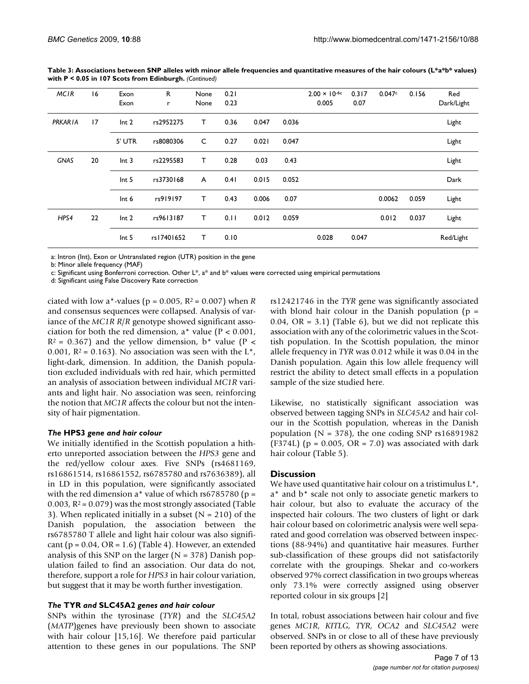| <b>MCIR</b>    | 16 | Exon<br>Exon     | R.<br>r    | None<br>None | 0.21<br>0.23 |       |       | $2.00 \times 10^{-6c}$<br>0.005 | 0.317<br>0.07 | 0.047c | 0.156 | Red<br>Dark/Light |
|----------------|----|------------------|------------|--------------|--------------|-------|-------|---------------------------------|---------------|--------|-------|-------------------|
| <b>PRKARIA</b> | 17 | Int <sub>2</sub> | rs2952275  | T.           | 0.36         | 0.047 | 0.036 |                                 |               |        |       | Light             |
|                |    | 5' UTR           | rs8080306  | C            | 0.27         | 0.021 | 0.047 |                                 |               |        |       | Light             |
| <b>GNAS</b>    | 20 | Int <sub>3</sub> | rs2295583  | т            | 0.28         | 0.03  | 0.43  |                                 |               |        |       | Light             |
|                |    | Int <sub>5</sub> | rs3730168  | A            | 0.41         | 0.015 | 0.052 |                                 |               |        |       | Dark              |
|                |    | Int 6            | rs919197   | т            | 0.43         | 0.006 | 0.07  |                                 |               | 0.0062 | 0.059 | Light             |
| HPS4           | 22 | Int <sub>2</sub> | rs9613187  | т            | 0.11         | 0.012 | 0.059 |                                 |               | 0.012  | 0.037 | Light             |
|                |    | Int <sub>5</sub> | rs17401652 | т            | 0.10         |       |       | 0.028                           | 0.047         |        |       | Red/Light         |

**Table 3: Associations between SNP alleles with minor allele frequencies and quantitative measures of the hair colours (L\*a\*b\* values) with P < 0.05 in 107 Scots from Edinburgh.** *(Continued)*

a: Intron (Int), Exon or Untranslated region (UTR) position in the gene

b: Minor allele frequency (MAF)

c: Significant using Bonferroni correction. Other  $L^*$ , a<sup>\*</sup> and  $b^*$  values were corrected using empirical permutations

d: Significant using False Discovery Rate correction

ciated with low a\*-values ( $p = 0.005$ ,  $R^2 = 0.007$ ) when *R* and consensus sequences were collapsed. Analysis of variance of the *MC1R R*/*R* genotype showed significant association for both the red dimension,  $a^*$  value ( $P < 0.001$ ,  $R^2$  = 0.367) and the yellow dimension, b\* value (P < 0.001,  $R^2$  = 0.163). No association was seen with the L<sup>\*</sup>, light-dark, dimension. In addition, the Danish population excluded individuals with red hair, which permitted an analysis of association between individual *MC1R* variants and light hair. No association was seen, reinforcing the notion that *MC1R* affects the colour but not the intensity of hair pigmentation.

# *The* **HPS3** *gene and hair colour*

We initially identified in the Scottish population a hitherto unreported association between the *HPS3* gene and the red/yellow colour axes. Five SNPs (rs4681169, rs16861514, rs16861552, rs6785780 and rs7636389), all in LD in this population, were significantly associated with the red dimension  $a^*$  value of which rs6785780 (p = 0.003,  $R^2$  = 0.079) was the most strongly associated (Table 3). When replicated initially in a subset  $(N = 210)$  of the Danish population, the association between the rs6785780 T allele and light hair colour was also significant ( $p = 0.04$ ,  $OR = 1.6$ ) (Table 4). However, an extended analysis of this SNP on the larger  $(N = 378)$  Danish population failed to find an association. Our data do not, therefore, support a role for *HPS3* in hair colour variation, but suggest that it may be worth further investigation.

# *The* **TYR** *and* **SLC45A2** *genes and hair colour*

SNPs within the tyrosinase (*TYR*) and the *SLC45A2* (*MATP*)genes have previously been shown to associate with hair colour [15,16]. We therefore paid particular attention to these genes in our populations. The SNP rs12421746 in the *TYR* gene was significantly associated with blond hair colour in the Danish population  $(p =$ 0.04,  $OR = 3.1$ ) (Table 6), but we did not replicate this association with any of the colorimetric values in the Scottish population. In the Scottish population, the minor allele frequency in *TYR* was 0.012 while it was 0.04 in the Danish population. Again this low allele frequency will restrict the ability to detect small effects in a population sample of the size studied here.

Likewise, no statistically significant association was observed between tagging SNPs in *SLC45A2* and hair colour in the Scottish population, whereas in the Danish population ( $N = 378$ ), the one coding SNP rs16891982 (F374L) ( $p = 0.005$ ,  $OR = 7.0$ ) was associated with dark hair colour (Table 5).

# **Discussion**

We have used quantitative hair colour on a tristimulus  $L^*$ , a\* and b\* scale not only to associate genetic markers to hair colour, but also to evaluate the accuracy of the inspected hair colours. The two clusters of light or dark hair colour based on colorimetric analysis were well separated and good correlation was observed between inspections (88-94%) and quantitative hair measures. Further sub-classification of these groups did not satisfactorily correlate with the groupings. Shekar and co-workers observed 97% correct classification in two groups whereas only 73.1% were correctly assigned using observer reported colour in six groups [2]

In total, robust associations between hair colour and five genes *MC1R, KITLG, TYR, OCA2* and *SLC45A2* were observed. SNPs in or close to all of these have previously been reported by others as showing associations.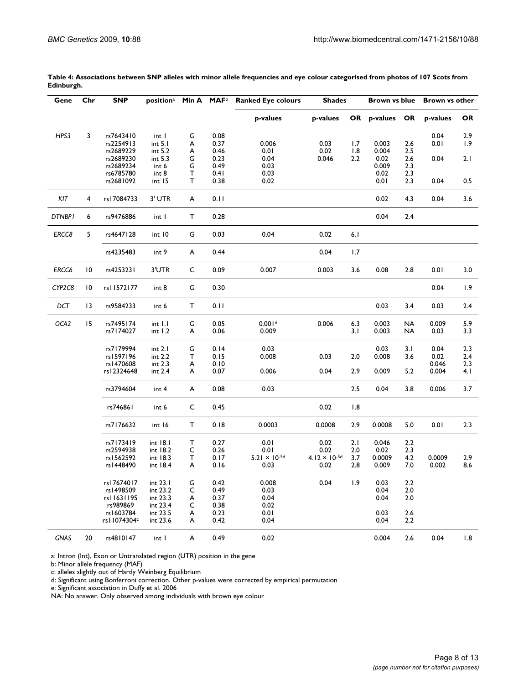| Gene          | Chr             | <b>SNP</b>               | position <sup>a</sup> Min A MAF <sup>b</sup> |        |              | <b>Ranked Eye colours</b> |                                | <b>Shades</b> |                 | <b>Brown vs blue</b> |                 | <b>Brown vs other</b> |  |
|---------------|-----------------|--------------------------|----------------------------------------------|--------|--------------|---------------------------|--------------------------------|---------------|-----------------|----------------------|-----------------|-----------------------|--|
|               |                 |                          |                                              |        |              | p-values                  | p-values                       |               | OR p-values OR  |                      | p-values        | OR                    |  |
| HPS3          | 3               | rs7643410                | int I                                        | G      | 0.08         |                           |                                |               |                 |                      | 0.04            | 2.9                   |  |
|               |                 | rs2254913                | int 5.1                                      | A      | 0.37         | 0.006                     | 0.03                           | 1.7           | 0.003           | 2.6                  | 0.01            | 1.9                   |  |
|               |                 | rs2689229                | int 5.2                                      | A      | 0.46         | 0.01                      | 0.02                           | 1.8           | 0.004           | 2.5                  |                 |                       |  |
|               |                 | rs2689230                | int 5.3                                      | G      | 0.23         | 0.04                      | 0.046                          | 2.2           | 0.02            | 2.6                  | 0.04            | 2.1                   |  |
|               |                 | rs2689234                | int 6                                        | G      | 0.49         | 0.03                      |                                |               | 0.009           | 2.3                  |                 |                       |  |
|               |                 | rs6785780                | int <sub>8</sub>                             | т      | 0.41         | 0.03                      |                                |               | 0.02            | 2.3                  |                 |                       |  |
|               |                 | rs2681092                | int 15                                       | т      | 0.38         | 0.02                      |                                |               | 0.01            | 2.3                  | 0.04            | 0.5                   |  |
| KIT           | 4               | rs17084733               | 3' UTR                                       | A      | 0.11         |                           |                                |               | 0.02            | 4.3                  | 0.04            | 3.6                   |  |
| <b>DTNBPI</b> | 6               | rs9476886                | int I                                        | T      | 0.28         |                           |                                |               | 0.04            | 2.4                  |                 |                       |  |
| ERCC8         | 5               | rs4647128                | int 10                                       | G      | 0.03         | 0.04                      | 0.02                           | 6.1           |                 |                      |                 |                       |  |
|               |                 |                          |                                              |        |              |                           |                                |               |                 |                      |                 |                       |  |
|               |                 | rs4235483                | int 9                                        | A      | 0.44         |                           | 0.04                           | 1.7           |                 |                      |                 |                       |  |
| ERCC6         | $\overline{10}$ | rs4253231                | 3'UTR                                        | C      | 0.09         | 0.007                     | 0.003                          | 3.6           | 0.08            | 2.8                  | 0.01            | 3.0                   |  |
| CYP2C8        | 10              | rs11572177               | int 8                                        | G      | 0.30         |                           |                                |               |                 |                      | 0.04            | 1.9                   |  |
| DCT           | 13              | rs9584233                | int 6                                        | Τ      | 0.11         |                           |                                |               | 0.03            | 3.4                  | 0.03            | 2.4                   |  |
| OCA2          | 15              | rs7495174                | int 1.1                                      | G      | 0.05         | 0.001 <sup>d</sup>        | 0.006                          | 6.3           | 0.003           | <b>NA</b>            | 0.009           | 5.9                   |  |
|               |                 | rs7174027                | int 1.2                                      | A      | 0.06         | 0.009                     |                                | 3.1           | 0.003           | <b>NA</b>            | 0.03            | 3.3                   |  |
|               |                 | rs7179994                | int 2.1                                      | G      | 0.14         | 0.03                      |                                |               | 0.03            | 3.1                  | 0.04            | 2.3                   |  |
|               |                 | rs1597196                | int 2.2                                      | т      | 0.15         | 0.008                     | 0.03                           | 2.0           | 0.008           | 3.6                  | 0.02            | 2.4                   |  |
|               |                 | rs1470608                | int 2.3                                      | A      | 0.10         |                           |                                |               |                 |                      | 0.046           | 2.3                   |  |
|               |                 | rs12324648               | int 2.4                                      | A      | 0.07         | 0.006                     | 0.04                           | 2.9           | 0.009           | 5.2                  | 0.004           | 4.1                   |  |
|               |                 | rs3794604                | int 4                                        | A      | 0.08         | 0.03                      |                                | 2.5           | 0.04            | 3.8                  | 0.006           | 3.7                   |  |
|               |                 | rs746861                 | int 6                                        | C      | 0.45         |                           | 0.02                           | 1.8           |                 |                      |                 |                       |  |
|               |                 | rs7176632                | int 16                                       | T      | 0.18         | 0.0003                    | 0.0008                         | 2.9           | 0.0008          | 5.0                  | 0.01            | 2.3                   |  |
|               |                 |                          |                                              |        |              |                           |                                |               |                 |                      |                 |                       |  |
|               |                 | rs7173419<br>rs2594938   | int 18.1<br>int 18.2                         | т      | 0.27<br>0.26 | 0.01<br>0.01              | 0.02<br>0.02                   | 2.1<br>2.0    | 0.046<br>0.02   | 2.2<br>2.3           |                 |                       |  |
|               |                 |                          |                                              | C      |              | $5.21 \times 10^{-5d}$    |                                |               |                 |                      |                 |                       |  |
|               |                 | rs1562592<br>rs   448490 | int 18.3<br>int 18.4                         | T<br>A | 0.17<br>0.16 | 0.03                      | $4.12 \times 10^{-5d}$<br>0.02 | 3.7<br>2.8    | 0.0009<br>0.009 | 4.2<br>7.0           | 0.0009<br>0.002 | 2.9<br>8.6            |  |
|               |                 |                          |                                              |        |              |                           |                                |               |                 |                      |                 |                       |  |
|               |                 | rs17674017               | int 23.1                                     | G      | 0.42         | 0.008                     | 0.04                           | 1.9           | 0.03            | 2.2                  |                 |                       |  |
|               |                 | rs1498509                | int 23.2                                     | С      | 0.49         | 0.03                      |                                |               | 0.04            | 2.0                  |                 |                       |  |
|               |                 | rs11631195               | int 23.3                                     | A      | 0.37         | 0.04                      |                                |               | 0.04            | 2.0                  |                 |                       |  |
|               |                 | rs989869                 | int 23.4                                     | C      | 0.38         | 0.02                      |                                |               |                 |                      |                 |                       |  |
|               |                 | rs1603784                | int 23.5                                     | A      | 0.23         | 0.01                      |                                |               | 0.03            | 2.6                  |                 |                       |  |
|               |                 | rs   1074304c            | int 23.6                                     | A      | 0.42         | 0.04                      |                                |               | 0.04            | 2.2                  |                 |                       |  |
| <b>GNAS</b>   | 20              | rs4810147                | int I                                        | A      | 0.49         | 0.02                      |                                |               | 0.004           | 2.6                  | 0.04            | 1.8                   |  |

**Table 4: Associations between SNP alleles with minor allele frequencies and eye colour categorised from photos of 107 Scots from Edinburgh.**

a: Intron (Int), Exon or Untranslated region (UTR) position in the gene

b: Minor allele frequency (MAF)

c: alleles slightly out of Hardy Weinberg Equilibrium

d: Significant using Bonferroni correction. Other p-values were corrected by empirical permutation

e: Significant association in Duffy et al. 2006

NA: No answer. Only observed among individuals with brown eye colour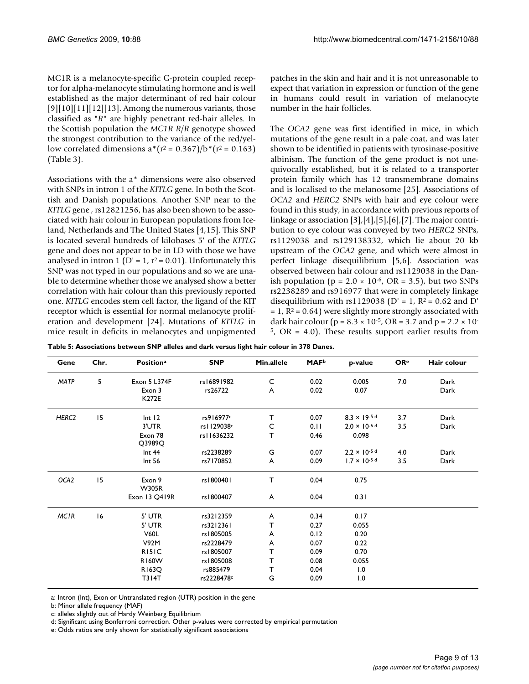MC1R is a melanocyte-specific G-protein coupled receptor for alpha-melanocyte stimulating hormone and is well established as the major determinant of red hair colour  $[9][10][11][12][13]$ . Among the numerous variants, those classified as "*R*" are highly penetrant red-hair alleles. In the Scottish population the *MC1R R*/*R* genotype showed the strongest contribution to the variance of the red/yellow correlated dimensions  $a^{*}(r^2 = 0.367)/b^{*}(r^2 = 0.163)$ (Table 3).

Associations with the a\* dimensions were also observed with SNPs in intron 1 of the *KITLG* gene. In both the Scottish and Danish populations. Another SNP near to the *KITLG* gene , rs12821256, has also been shown to be associated with hair colour in European populations from Iceland, Netherlands and The United States [4,15]. This SNP is located several hundreds of kilobases 5' of the *KITLG* gene and does not appear to be in LD with those we have analysed in intron 1 (D' = 1,  $r^2$  = 0.01). Unfortunately this SNP was not typed in our populations and so we are unable to determine whether those we analysed show a better correlation with hair colour than this previously reported one. *KITLG* encodes stem cell factor, the ligand of the KIT receptor which is essential for normal melanocyte proliferation and development [24]. Mutations of *KITLG* in mice result in deficits in melanocytes and unpigmented patches in the skin and hair and it is not unreasonable to expect that variation in expression or function of the gene in humans could result in variation of melanocyte number in the hair follicles.

The *OCA2* gene was first identified in mice, in which mutations of the gene result in a pale coat, and was later shown to be identified in patients with tyrosinase-positive albinism. The function of the gene product is not unequivocally established, but it is related to a transporter protein family which has 12 transmembrane domains and is localised to the melanosome [25]. Associations of *OCA2* and *HERC2* SNPs with hair and eye colour were found in this study, in accordance with previous reports of linkage or association [3],[4],[5],[6],[7]. The major contribution to eye colour was conveyed by two *HERC2* SNPs, rs1129038 and rs129138332, which lie about 20 kb upstream of the *OCA2* gene, and which were almost in perfect linkage disequilibrium [5,6]. Association was observed between hair colour and rs1129038 in the Danish population ( $p = 2.0 \times 10^{-6}$ , OR = 3.5), but two SNPs rs2238289 and rs916977 that were in completely linkage disequilibrium with rs1129038 (D' = 1,  $R^2$  = 0.62 and D'  $= 1$ ,  $R<sup>2</sup> = 0.64$ ) were slightly more strongly associated with dark hair colour ( $p = 8.3 \times 10^{-5}$ , OR = 3.7 and  $p = 2.2 \times 10^{-5}$  $5$ , OR = 4.0). These results support earlier results from

| Table 5: Associations between SNP alleles and dark versus light hair colour in 378 Danes. |  |
|-------------------------------------------------------------------------------------------|--|
|-------------------------------------------------------------------------------------------|--|

| Gene              | Chr. | <b>Positiona</b>        | <b>SNP</b>   | Min.allele   | <b>MAF</b> <sup>b</sup> | p-value                | <b>OR</b> <sup>e</sup> | Hair colour |
|-------------------|------|-------------------------|--------------|--------------|-------------------------|------------------------|------------------------|-------------|
| <b>MATP</b>       | 5    | Exon 5 L374F            | rs16891982   | C            | 0.02                    | 0.005                  | 7.0                    | Dark        |
|                   |      | Exon 3<br>K272E         | rs26722      | A            | 0.02                    | 0.07                   |                        | Dark        |
| HERC <sub>2</sub> | 15   | Int 12                  | rs916977c    | $\mathsf{T}$ | 0.07                    | $8.3 \times 19.5$ d    | 3.7                    | Dark        |
|                   |      | 3'UTR                   | rs   129038c | C            | 0.11                    | $2.0 \times 10^{-6}$ d | 3.5                    | Dark        |
|                   |      | Exon 78<br>$Q$ 3989 $Q$ | rs11636232   | т            | 0.46                    | 0.098                  |                        |             |
|                   |      | Int 44                  | rs2238289    | G            | 0.07                    | $2.2 \times 10^{-5}$ d | 4.0                    | Dark        |
|                   |      | Int 56                  | rs7170852    | A            | 0.09                    | $1.7 \times 10^{-5}$ d | 3.5                    | Dark        |
| OCA <sub>2</sub>  | 15   | Exon 9<br><b>W305R</b>  | rs1800401    | т            | 0.04                    | 0.75                   |                        |             |
|                   |      | Exon 13 Q419R           | rs 1800407   | A            | 0.04                    | 0.31                   |                        |             |
| <b>MCIR</b>       | 16   | 5' UTR                  | rs3212359    | A            | 0.34                    | 0.17                   |                        |             |
|                   |      | 5' UTR                  | rs3212361    | т            | 0.27                    | 0.055                  |                        |             |
|                   |      | <b>V60L</b>             | rs1805005    | A            | 0.12                    | 0.20                   |                        |             |
|                   |      | V92M                    | rs2228479    | A            | 0.07                    | 0.22                   |                        |             |
|                   |      | R <sub>15</sub> IC      | rs1805007    | T            | 0.09                    | 0.70                   |                        |             |
|                   |      | <b>R160W</b>            | rs1805008    | т            | 0.08                    | 0.055                  |                        |             |
|                   |      | <b>R163Q</b>            | rs885479     | т            | 0.04                    | 1.0                    |                        |             |
|                   |      | <b>T314T</b>            | rs2228478c   | G            | 0.09                    | 1.0                    |                        |             |

a: Intron (Int), Exon or Untranslated region (UTR) position in the gene

b: Minor allele frequency (MAF)

c: alleles slightly out of Hardy Weinberg Equilibrium

d: Significant using Bonferroni correction. Other p-values were corrected by empirical permutation

e: Odds ratios are only shown for statistically significant associations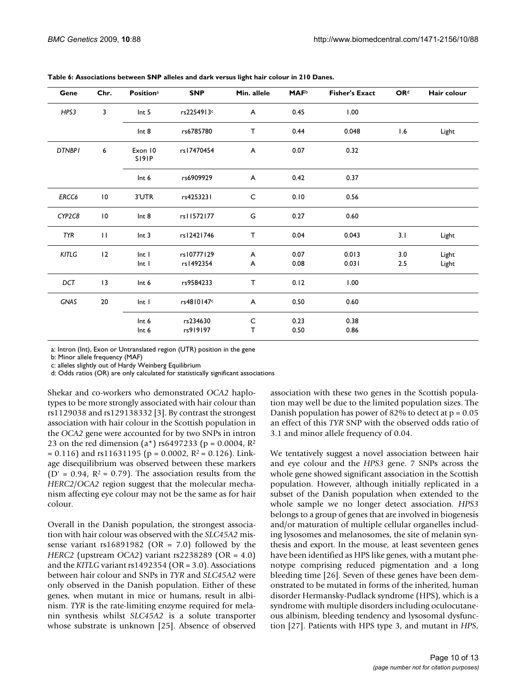| Gene          | Chr.            | <b>Positiona</b>          | <b>SNP</b>              | Min. allele  | <b>MAF</b> <sup>b</sup> | <b>Fisher's Exact</b> | <b>OR</b> <sup>d</sup> | Hair colour    |
|---------------|-----------------|---------------------------|-------------------------|--------------|-------------------------|-----------------------|------------------------|----------------|
| HPS3          | 3               | Int <sub>5</sub>          | rs2254913c              | A            | 0.45                    | 1.00                  |                        |                |
|               |                 | Int <sub>8</sub>          | rs6785780               | T.           | 0.44                    | 0.048                 | 1.6                    | Light          |
| <b>DTNBPI</b> | 6               | Exon 10<br>S191P          | rs17470454              | A            | 0.07                    | 0.32                  |                        |                |
|               |                 | Int 6                     | rs6909929               | A            | 0.42                    | 0.37                  |                        |                |
| ERCC6         | $\overline{10}$ | 3'UTR                     | rs4253231               | $\mathsf{C}$ | 0.10                    | 0.56                  |                        |                |
| CYP2C8        | $\overline{10}$ | Int 8                     | rs11572177              | G            | 0.27                    | 0.60                  |                        |                |
| <b>TYR</b>    | $\mathbf{H}$    | Int <sub>3</sub>          | rs12421746              | T.           | 0.04                    | 0.043                 | 3.1                    | Light          |
| KITLG         | 12              | Int I<br>Int <sub>1</sub> | rs10777129<br>rs1492354 | A<br>A       | 0.07<br>0.08            | 0.013<br>0.031        | 3.0<br>2.5             | Light<br>Light |
| DCT           | 13              | Int 6                     | rs9584233               | T            | 0.12                    | 1.00                  |                        |                |
| <b>GNAS</b>   | 20              | Int <sub>1</sub>          | rs4810147c              | A            | 0.50                    | 0.60                  |                        |                |
|               |                 | Int 6<br>Int 6            | rs234630<br>rs919197    | C<br>T       | 0.23<br>0.50            | 0.38<br>0.86          |                        |                |

**Table 6: Associations between SNP alleles and dark versus light hair colour in 210 Danes.**

a: Intron (Int), Exon or Untranslated region (UTR) position in the gene

b: Minor allele frequency (MAF)

c: alleles slightly out of Hardy Weinberg Equilibrium

d: Odds ratios (OR) are only calculated for statistically significant associations

Shekar and co-workers who demonstrated *OCA2* haplotypes to be more strongly associated with hair colour than rs1129038 and rs129138332 [3]. By contrast the strongest association with hair colour in the Scottish population in the *OCA2* gene were accounted for by two SNPs in intron 23 on the red dimension (a\*) rs6497233 (p =  $0.0004$ , R<sup>2</sup>  $= 0.116$ ) and rs11631195 (p = 0.0002, R<sup>2</sup> = 0.126). Linkage disequilibrium was observed between these markers ( $D' = 0.94$ ,  $R^2 = 0.79$ ). The association results from the *HERC2*/*OCA2* region suggest that the molecular mechanism affecting eye colour may not be the same as for hair colour.

Overall in the Danish population, the strongest association with hair colour was observed with the *SLC45A2* missense variant rs16891982 (OR =  $7.0$ ) followed by the *HERC2* (upstream *OCA2*) variant rs2238289 (OR = 4.0) and the *KITLG* variant rs1492354 (OR = 3.0). Associations between hair colour and SNPs in *TYR* and *SLC45A2* were only observed in the Danish population. Either of these genes, when mutant in mice or humans, result in albinism. *TYR* is the rate-limiting enzyme required for melanin synthesis whilst *SLC45A2* is a solute transporter whose substrate is unknown [25]. Absence of observed

association with these two genes in the Scottish population may well be due to the limited population sizes. The Danish population has power of 82% to detect at  $p = 0.05$ an effect of this *TYR* SNP with the observed odds ratio of 3.1 and minor allele frequency of 0.04.

We tentatively suggest a novel association between hair and eye colour and the *HPS3* gene. 7 SNPs across the whole gene showed significant association in the Scottish population. However, although initially replicated in a subset of the Danish population when extended to the whole sample we no longer detect association. *HPS3* belongs to a group of genes that are involved in biogenesis and/or maturation of multiple cellular organelles including lysosomes and melanosomes, the site of melanin synthesis and export. In the mouse, at least seventeen genes have been identified as HPS like genes, with a mutant phenotype comprising reduced pigmentation and a long bleeding time [26]. Seven of these genes have been demonstrated to be mutated in forms of the inherited, human disorder Hermansky-Pudlack syndrome (HPS), which is a syndrome with multiple disorders including oculocutaneous albinism, bleeding tendency and lysosomal dysfunction [27]. Patients with HPS type 3, and mutant in *HPS*,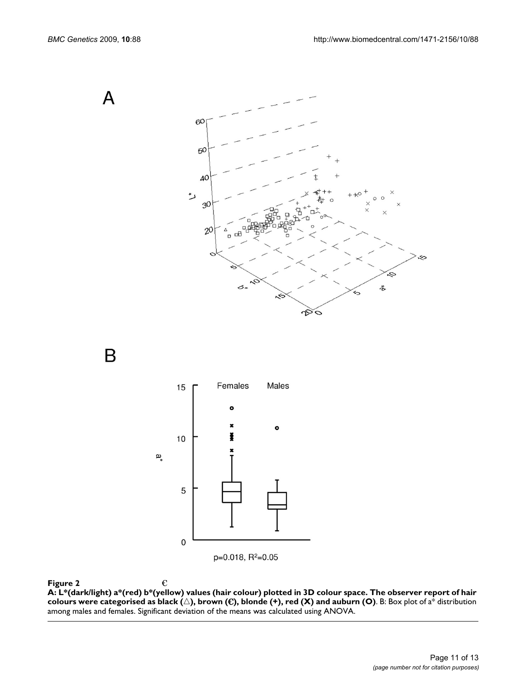A



B



**Figure 2** A: L<sup>ight</sup>ian colours were reported as black (-), reduces as black (-), red (X) and auburn (O) 3D colours were report of hair colours were reported as  $\infty$ **A: L\*(dark/light) a\*(red) b\*(yellow) values (hair colour) plotted in 3D colour space. The observer report of hair**   ${\bf colours}$  were categorised as black ( $\triangle$ ), brown ( $\bf \epsilon$ ), blonde (+), red (X) and auburn (O). B: Box plot of a $^*$  distribution among males and females. Significant deviation of the means was calculated using ANOVA.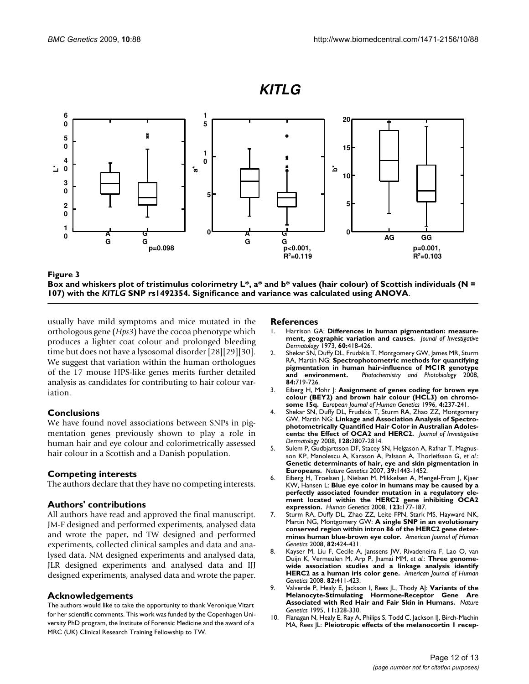

Box and whiskers plot of tristimulus colori *KITLG* **Figure 3**SNP rs1492354. Significance and varimetry L\*, a\* and b\* values (hair colour) of ance was calculated using ANOVA Scottish individuals (N = 107) with the **Box and whiskers plot of tristimulus colorimetry L\*, a\* and b\* values (hair colour) of Scottish individuals (N = 107) with the** *KITLG* **SNP rs1492354. Significance and variance was calculated using ANOVA**.

usually have mild symptoms and mice mutated in the orthologous gene (*Hps3*) have the cocoa phenotype which produces a lighter coat colour and prolonged bleeding time but does not have a lysosomal disorder [28][29][30]. We suggest that variation within the human orthologues of the 17 mouse HPS-like genes merits further detailed analysis as candidates for contributing to hair colour variation.

# **Conclusions**

We have found novel associations between SNPs in pigmentation genes previously shown to play a role in human hair and eye colour and colorimetrically assessed hair colour in a Scottish and a Danish population.

# **Competing interests**

The authors declare that they have no competing interests.

# **Authors' contributions**

All authors have read and approved the final manuscript. JM-F designed and performed experiments, analysed data and wrote the paper, nd TW designed and performed experiments, collected clinical samples and data and analysed data. NM designed experiments and analysed data, JLR designed experiments and analysed data and IJJ designed experiments, analysed data and wrote the paper.

# **Acknowledgements**

The authors would like to take the opportunity to thank Veronique Vitart for her scientific comments. This work was funded by the Copenhagen University PhD program, the Institute of Forensic Medicine and the award of a MRC (UK) Clinical Research Training Fellowship to TW.

#### **References**

- 1. Harrison GA: **Differences in human pigmentation: measurement, geographic variation and causes.** *Jounal of Investigative Dermatology* 1973, **60:**418-426.
- 2. Shekar SN, Duffy DL, Frudakis T, Montgomery GW, James MR, Sturm RA, Martin NG: **[Spectrophotometric methods for quantifying](http://www.ncbi.nlm.nih.gov/entrez/query.fcgi?cmd=Retrieve&db=PubMed&dopt=Abstract&list_uids=18435620) [pigmentation in human hair-influence of MC1R genotype](http://www.ncbi.nlm.nih.gov/entrez/query.fcgi?cmd=Retrieve&db=PubMed&dopt=Abstract&list_uids=18435620) [and environment.](http://www.ncbi.nlm.nih.gov/entrez/query.fcgi?cmd=Retrieve&db=PubMed&dopt=Abstract&list_uids=18435620)** *Photochemistry and Photobiology* 2008, **84:**719-726.
- 3. Eiberg H, Mohr J: **[Assignment of genes coding for brown eye](http://www.ncbi.nlm.nih.gov/entrez/query.fcgi?cmd=Retrieve&db=PubMed&dopt=Abstract&list_uids=8875191) [colour \(BEY2\) and brown hair colour \(HCL3\) on chromo](http://www.ncbi.nlm.nih.gov/entrez/query.fcgi?cmd=Retrieve&db=PubMed&dopt=Abstract&list_uids=8875191)[some 15q.](http://www.ncbi.nlm.nih.gov/entrez/query.fcgi?cmd=Retrieve&db=PubMed&dopt=Abstract&list_uids=8875191)** *European Journal of Human Genetics* 1996, **4:**237-241.
- 4. Shekar SN, Duffy DL, Frudakis T, Sturm RA, Zhao ZZ, Montgomery GW, Martin NG: **[Linkage and Association Analysis of Spectro](http://www.ncbi.nlm.nih.gov/entrez/query.fcgi?cmd=Retrieve&db=PubMed&dopt=Abstract&list_uids=18528436)[photometrically Quantified Hair Color in Australian Adoles](http://www.ncbi.nlm.nih.gov/entrez/query.fcgi?cmd=Retrieve&db=PubMed&dopt=Abstract&list_uids=18528436)[cents: the Effect of OCA2 and HERC2.](http://www.ncbi.nlm.nih.gov/entrez/query.fcgi?cmd=Retrieve&db=PubMed&dopt=Abstract&list_uids=18528436)** *Journal of Investigative Dermatology* 2008, **128:**2807-2814.
- 5. Sulem P, Gudbjartsson DF, Stacey SN, Helgason A, Rafnar T, Magnusson KP, Manolescu A, Karason A, Palsson A, Thorleifsson G, *et al.*: **[Genetic determinants of hair, eye and skin pigmentation in](http://www.ncbi.nlm.nih.gov/entrez/query.fcgi?cmd=Retrieve&db=PubMed&dopt=Abstract&list_uids=17952075) [Europeans.](http://www.ncbi.nlm.nih.gov/entrez/query.fcgi?cmd=Retrieve&db=PubMed&dopt=Abstract&list_uids=17952075)** *Nature Genetics* 2007, **39:**1443-1452.
- 6. Eiberg H, Troelsen J, Nielsen M, Mikkelsen A, Mengel-From J, Kjaer KW, Hansen L: **[Blue eye color in humans may be caused by a](http://www.ncbi.nlm.nih.gov/entrez/query.fcgi?cmd=Retrieve&db=PubMed&dopt=Abstract&list_uids=18172690) [perfectly associated founder mutation in a regulatory ele](http://www.ncbi.nlm.nih.gov/entrez/query.fcgi?cmd=Retrieve&db=PubMed&dopt=Abstract&list_uids=18172690)ment located within the HERC2 gene inhibiting OCA2 [expression.](http://www.ncbi.nlm.nih.gov/entrez/query.fcgi?cmd=Retrieve&db=PubMed&dopt=Abstract&list_uids=18172690)** *Human Genetics* 2008, **123:**177-187.
- 7. Sturm RA, Duffy DL, Zhao ZZ, Leite FPN, Stark MS, Hayward NK, Martin NG, Montgomery GW: **[A single SNP in an evolutionary](http://www.ncbi.nlm.nih.gov/entrez/query.fcgi?cmd=Retrieve&db=PubMed&dopt=Abstract&list_uids=18252222) [conserved region within intron 86 of the HERC2 gene deter](http://www.ncbi.nlm.nih.gov/entrez/query.fcgi?cmd=Retrieve&db=PubMed&dopt=Abstract&list_uids=18252222)[mines human blue-brown eye color.](http://www.ncbi.nlm.nih.gov/entrez/query.fcgi?cmd=Retrieve&db=PubMed&dopt=Abstract&list_uids=18252222)** *American Journal of Human Genetics* 2008, **82:**424-431.
- 8. Kayser M, Liu F, Cecile A, Janssens JW, Rivadeneira F, Lao O, van Duijn K, Vermeulen M, Arp P, Jhamai MM, *et al.*: **[Three genome](http://www.ncbi.nlm.nih.gov/entrez/query.fcgi?cmd=Retrieve&db=PubMed&dopt=Abstract&list_uids=18252221)[wide association studies and a linkage analysis identify](http://www.ncbi.nlm.nih.gov/entrez/query.fcgi?cmd=Retrieve&db=PubMed&dopt=Abstract&list_uids=18252221) [HERC2 as a human iris color gene.](http://www.ncbi.nlm.nih.gov/entrez/query.fcgi?cmd=Retrieve&db=PubMed&dopt=Abstract&list_uids=18252221)** *American Journal of Human Genetics* 2008, **82:**411-423.
- 9. Valverde P, Healy E, Jackson I, Rees JL, Thody AJ: **[Variants of the](http://www.ncbi.nlm.nih.gov/entrez/query.fcgi?cmd=Retrieve&db=PubMed&dopt=Abstract&list_uids=7581459) [Melanocyte-Stimulating Hormone-Receptor Gene Are](http://www.ncbi.nlm.nih.gov/entrez/query.fcgi?cmd=Retrieve&db=PubMed&dopt=Abstract&list_uids=7581459) [Associated with Red Hair and Fair Skin in Humans.](http://www.ncbi.nlm.nih.gov/entrez/query.fcgi?cmd=Retrieve&db=PubMed&dopt=Abstract&list_uids=7581459)** *Nature Genetics* 1995, **11:**328-330.
- 10. Flanagan N, Healy E, Ray A, Philips S, Todd C, Jackson IJ, Birch-Machin MA, Rees JL: **[Pleiotropic effects of the melanocortin 1 recep](http://www.ncbi.nlm.nih.gov/entrez/query.fcgi?cmd=Retrieve&db=PubMed&dopt=Abstract&list_uids=11030758)-**